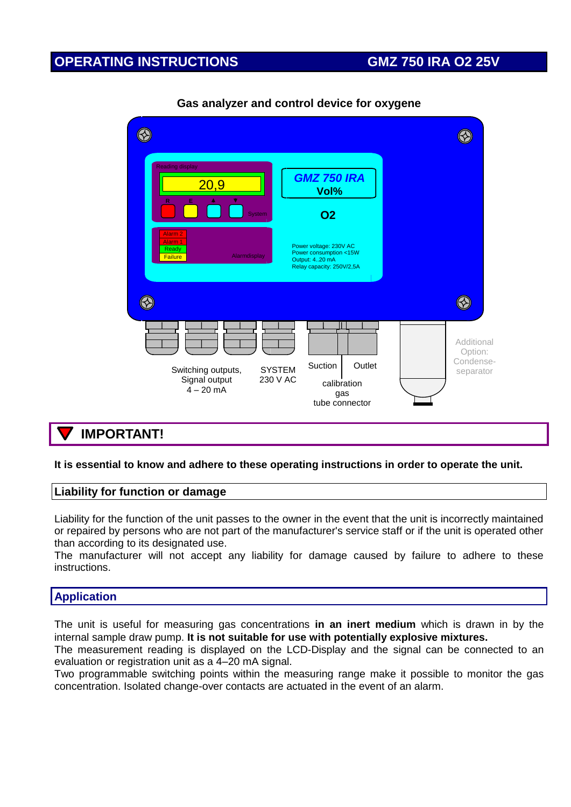### **OPERATING INSTRUCTIONS GMZ 750 IRA O2 25V**

| <b>Reading display</b><br>20,9<br>R<br>Е                                               | <b>GMZ 750 IRA</b><br>Vol%                                                                                   |                                                 |
|----------------------------------------------------------------------------------------|--------------------------------------------------------------------------------------------------------------|-------------------------------------------------|
| System<br>Alarm <sub>2</sub><br>Alarm <sub>1</sub><br>Ready<br>Alarmdisplay<br>Failure | <b>O2</b><br>Power voltage: 230V AC<br>Power consumption <15W<br>Output: 420 mA<br>Relay capacity: 250V/2,5A |                                                 |
|                                                                                        |                                                                                                              |                                                 |
| <b>SYSTEM</b><br>Switching outputs,<br>230 V AC<br>Signal output<br>$4 - 20$ mA        | Outlet<br>Suction<br>calibration<br>gas<br>tube connector                                                    | Additional<br>Option:<br>Condense-<br>separator |

#### **Gas analyzer and control device for oxygene**

### **IMPORTANT!**

#### **It is essential to know and adhere to these operating instructions in order to operate the unit.**

#### **Liability for function or damage**

Liability for the function of the unit passes to the owner in the event that the unit is incorrectly maintained or repaired by persons who are not part of the manufacturer's service staff or if the unit is operated other than according to its designated use.

The manufacturer will not accept any liability for damage caused by failure to adhere to these instructions.

#### **Application**

The unit is useful for measuring gas concentrations **in an inert medium** which is drawn in by the internal sample draw pump. **It is not suitable for use with potentially explosive mixtures.**

The measurement reading is displayed on the LCD-Display and the signal can be connected to an evaluation or registration unit as a 4–20 mA signal.

Two programmable switching points within the measuring range make it possible to monitor the gas concentration. Isolated change-over contacts are actuated in the event of an alarm.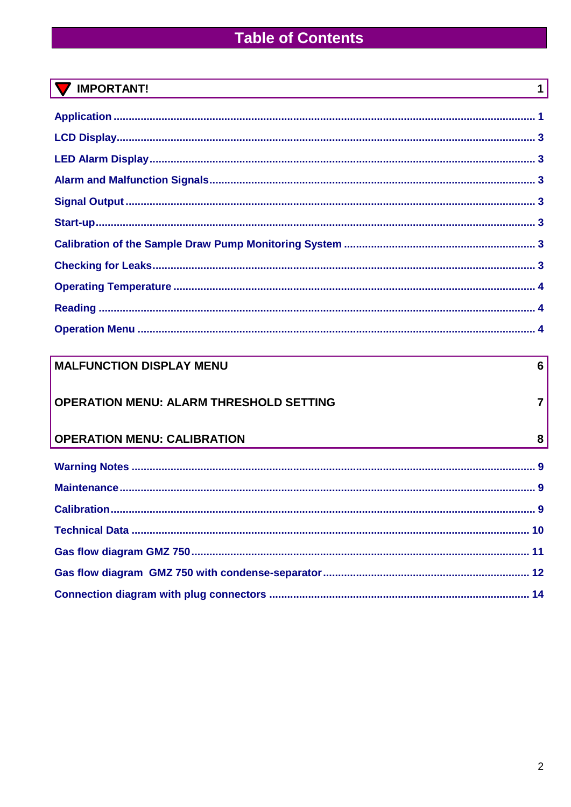# **Table of Contents**

| ORT<br>۰<br>יו ב |
|------------------|
|------------------|

| <b>MALFUNCTION DISPLAY MENU</b>                | $6 \overline{6}$ |
|------------------------------------------------|------------------|
| <b>OPERATION MENU: ALARM THRESHOLD SETTING</b> | $\overline{7}$   |
| <b>OPERATION MENU: CALIBRATION</b>             | 8                |
|                                                |                  |
|                                                |                  |
|                                                |                  |
|                                                |                  |
|                                                |                  |
|                                                |                  |
|                                                |                  |

 $\overline{1}$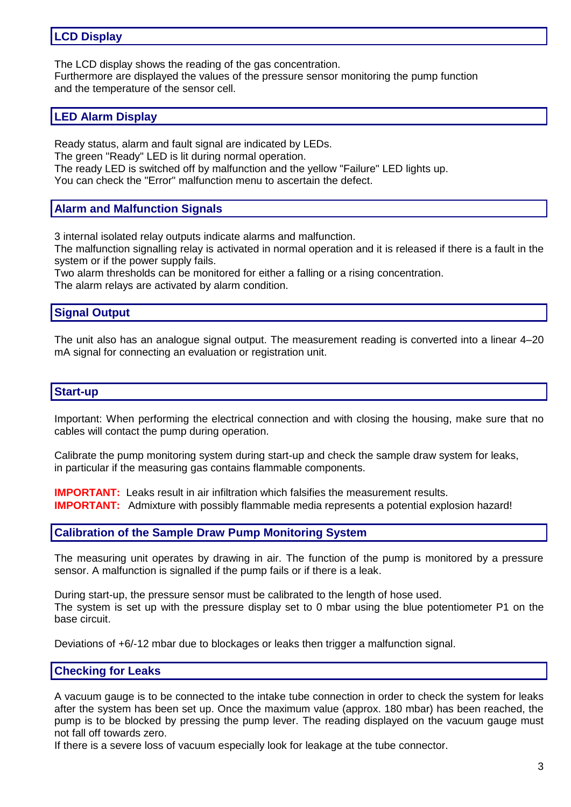### **LCD Display**

The LCD display shows the reading of the gas concentration. Furthermore are displayed the values of the pressure sensor monitoring the pump function and the temperature of the sensor cell.

#### **LED Alarm Display**

Ready status, alarm and fault signal are indicated by LEDs.

The green "Ready" LED is lit during normal operation.

The ready LED is switched off by malfunction and the yellow "Failure" LED lights up. You can check the "Error" malfunction menu to ascertain the defect.

#### **Alarm and Malfunction Signals**

3 internal isolated relay outputs indicate alarms and malfunction.

The malfunction signalling relay is activated in normal operation and it is released if there is a fault in the system or if the power supply fails.

Two alarm thresholds can be monitored for either a falling or a rising concentration. The alarm relays are activated by alarm condition.

#### **Signal Output**

The unit also has an analogue signal output. The measurement reading is converted into a linear 4–20 mA signal for connecting an evaluation or registration unit.

#### **Start-up**

Important: When performing the electrical connection and with closing the housing, make sure that no cables will contact the pump during operation.

Calibrate the pump monitoring system during start-up and check the sample draw system for leaks, in particular if the measuring gas contains flammable components.

**IMPORTANT:** Leaks result in air infiltration which falsifies the measurement results. **IMPORTANT:** Admixture with possibly flammable media represents a potential explosion hazard!

#### **Calibration of the Sample Draw Pump Monitoring System**

The measuring unit operates by drawing in air. The function of the pump is monitored by a pressure sensor. A malfunction is signalled if the pump fails or if there is a leak.

During start-up, the pressure sensor must be calibrated to the length of hose used. The system is set up with the pressure display set to 0 mbar using the blue potentiometer P1 on the base circuit.

Deviations of +6/-12 mbar due to blockages or leaks then trigger a malfunction signal.

#### **Checking for Leaks**

A vacuum gauge is to be connected to the intake tube connection in order to check the system for leaks after the system has been set up. Once the maximum value (approx. 180 mbar) has been reached, the pump is to be blocked by pressing the pump lever. The reading displayed on the vacuum gauge must not fall off towards zero.

If there is a severe loss of vacuum especially look for leakage at the tube connector.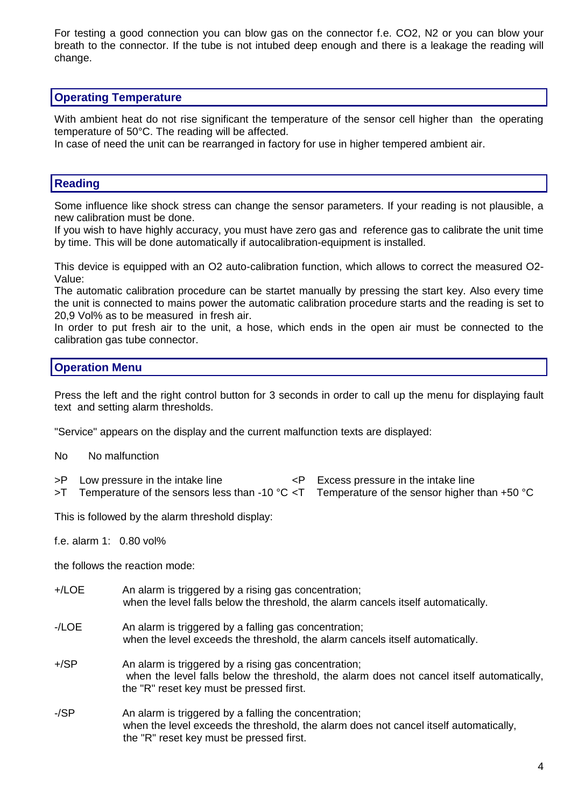For testing a good connection you can blow gas on the connector f.e. CO2, N2 or you can blow your breath to the connector. If the tube is not intubed deep enough and there is a leakage the reading will change.

#### **Operating Temperature**

With ambient heat do not rise significant the temperature of the sensor cell higher than the operating temperature of 50°C. The reading will be affected.

In case of need the unit can be rearranged in factory for use in higher tempered ambient air.

#### **Reading**

Some influence like shock stress can change the sensor parameters. If your reading is not plausible, a new calibration must be done.

If you wish to have highly accuracy, you must have zero gas and reference gas to calibrate the unit time by time. This will be done automatically if autocalibration-equipment is installed.

This device is equipped with an O2 auto-calibration function, which allows to correct the measured O2- Value:

The automatic calibration procedure can be startet manually by pressing the start key. Also every time the unit is connected to mains power the automatic calibration procedure starts and the reading is set to 20,9 Vol% as to be measured in fresh air.

In order to put fresh air to the unit, a hose, which ends in the open air must be connected to the calibration gas tube connector.

#### **Operation Menu**

Press the left and the right control button for 3 seconds in order to call up the menu for displaying fault text and setting alarm thresholds.

"Service" appears on the display and the current malfunction texts are displayed:

- No No malfunction
- >P Low pressure in the intake line  $\leq P$  Excess pressure in the intake line

>T Temperature of the sensors less than -10 °C <T Temperature of the sensor higher than +50 °C

This is followed by the alarm threshold display:

f.e. alarm 1: 0.80 vol%

the follows the reaction mode:

- +/LOE An alarm is triggered by a rising gas concentration; when the level falls below the threshold, the alarm cancels itself automatically.
- -/LOE An alarm is triggered by a falling gas concentration; when the level exceeds the threshold, the alarm cancels itself automatically.
- +/SP An alarm is triggered by a rising gas concentration; when the level falls below the threshold, the alarm does not cancel itself automatically, the "R" reset key must be pressed first.
- -/SP An alarm is triggered by a falling the concentration; when the level exceeds the threshold, the alarm does not cancel itself automatically, the "R" reset key must be pressed first.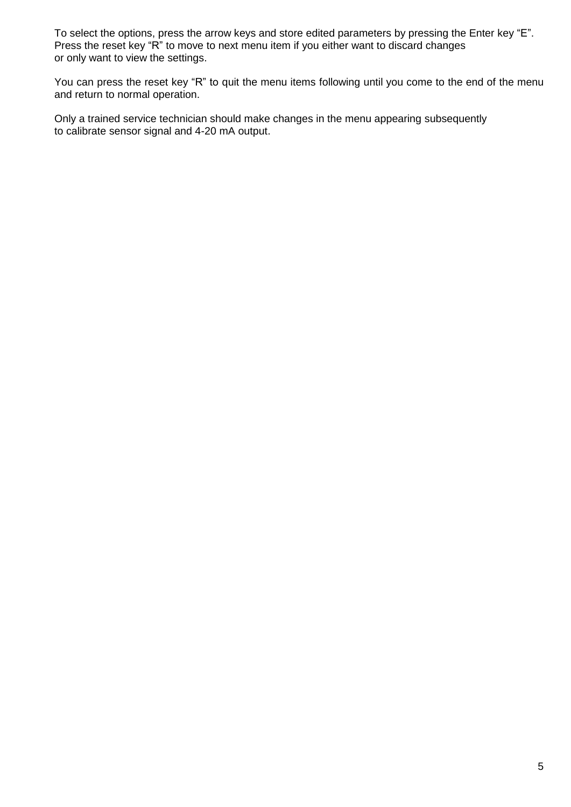To select the options, press the arrow keys and store edited parameters by pressing the Enter key "E". Press the reset key "R" to move to next menu item if you either want to discard changes or only want to view the settings.

You can press the reset key "R" to quit the menu items following until you come to the end of the menu and return to normal operation.

Only a trained service technician should make changes in the menu appearing subsequently to calibrate sensor signal and 4-20 mA output.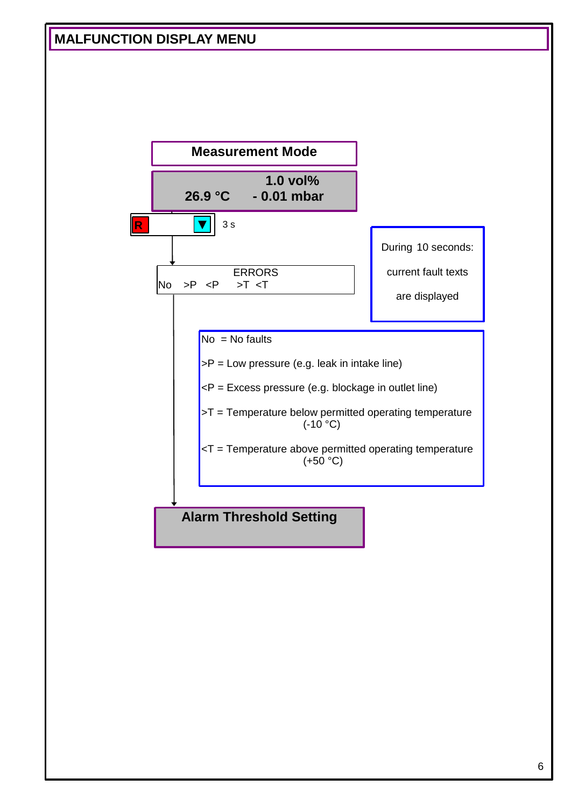### **MALFUNCTION DISPLAY MENU**

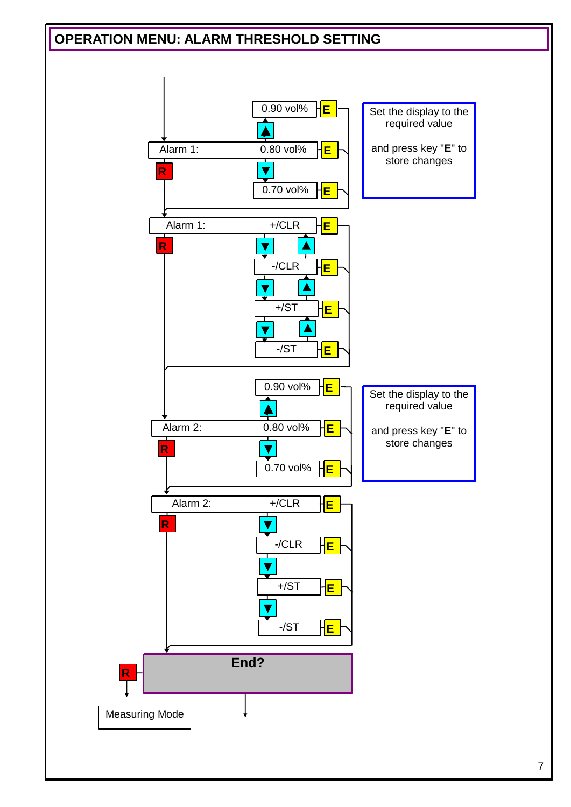## **OPERATION MENU: ALARM THRESHOLD SETTING**

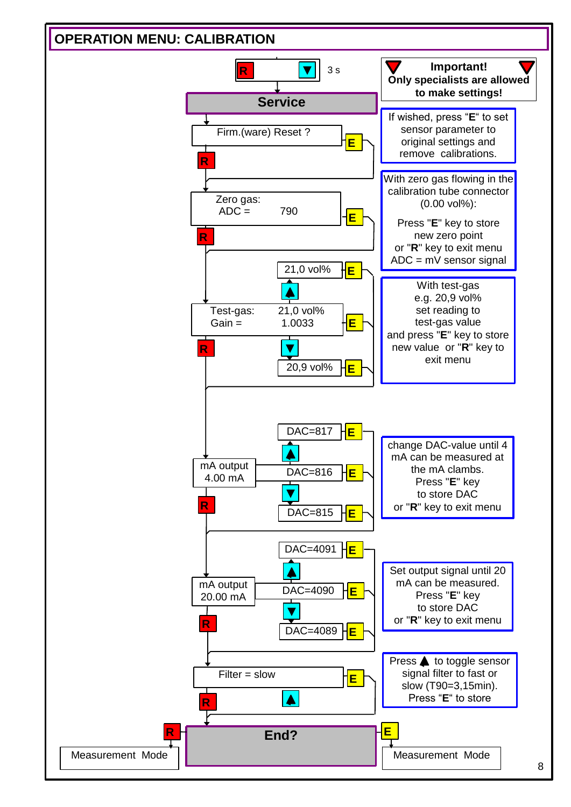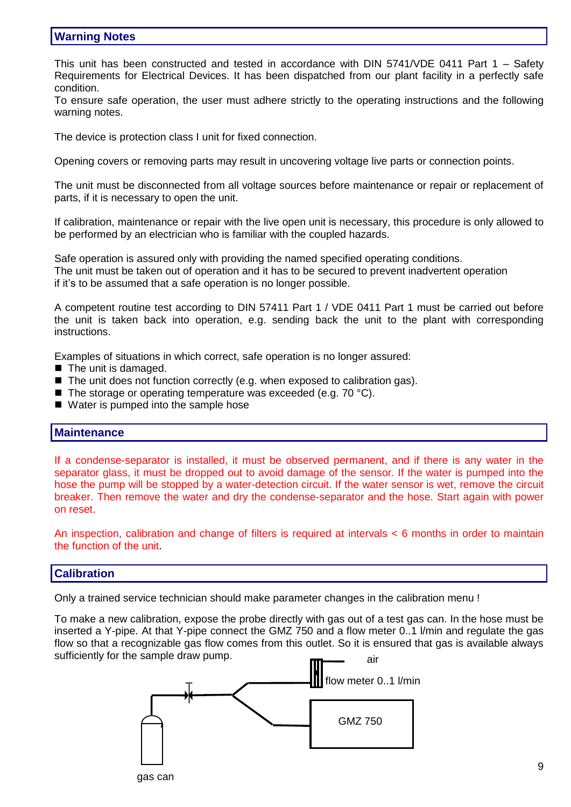#### **Warning Notes**

This unit has been constructed and tested in accordance with DIN 5741/VDE 0411 Part 1 – Safety Requirements for Electrical Devices. It has been dispatched from our plant facility in a perfectly safe condition.

To ensure safe operation, the user must adhere strictly to the operating instructions and the following warning notes.

The device is protection class I unit for fixed connection.

Opening covers or removing parts may result in uncovering voltage live parts or connection points.

The unit must be disconnected from all voltage sources before maintenance or repair or replacement of parts, if it is necessary to open the unit.

If calibration, maintenance or repair with the live open unit is necessary, this procedure is only allowed to be performed by an electrician who is familiar with the coupled hazards.

Safe operation is assured only with providing the named specified operating conditions. The unit must be taken out of operation and it has to be secured to prevent inadvertent operation if it's to be assumed that a safe operation is no longer possible.

A competent routine test according to DIN 57411 Part 1 / VDE 0411 Part 1 must be carried out before the unit is taken back into operation, e.g. sending back the unit to the plant with corresponding instructions.

Examples of situations in which correct, safe operation is no longer assured:

- The unit is damaged.
- The unit does not function correctly (e.g. when exposed to calibration gas).
- The storage or operating temperature was exceeded (e.g. 70  $^{\circ}$ C).
- Water is pumped into the sample hose

#### **Maintenance**

If a condense-separator is installed, it must be observed permanent, and if there is any water in the separator glass, it must be dropped out to avoid damage of the sensor. If the water is pumped into the hose the pump will be stopped by a water-detection circuit. If the water sensor is wet, remove the circuit breaker. Then remove the water and dry the condense-separator and the hose. Start again with power on reset.

An inspection, calibration and change of filters is required at intervals < 6 months in order to maintain the function of the unit.

#### **Calibration**

Only a trained service technician should make parameter changes in the calibration menu !

To make a new calibration, expose the probe directly with gas out of a test gas can. In the hose must be inserted a Y-pipe. At that Y-pipe connect the GMZ 750 and a flow meter 0..1 l/min and regulate the gas flow so that a recognizable gas flow comes from this outlet. So it is ensured that gas is available always sufficiently for the sample draw pump. air

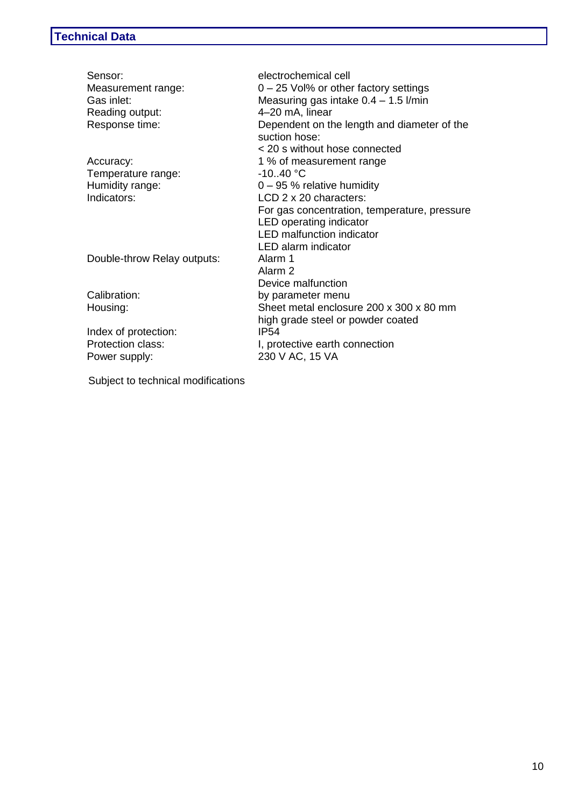| Sensor:<br>Measurement range:<br>Gas inlet:<br>Reading output:<br>Response time: | electrochemical cell<br>$0 - 25$ Vol% or other factory settings<br>Measuring gas intake $0.4 - 1.5$ l/min<br>4-20 mA, linear<br>Dependent on the length and diameter of the<br>suction hose: |
|----------------------------------------------------------------------------------|----------------------------------------------------------------------------------------------------------------------------------------------------------------------------------------------|
| Accuracy:                                                                        | < 20 s without hose connected<br>1 % of measurement range                                                                                                                                    |
| Temperature range:                                                               | $-1040 °C$                                                                                                                                                                                   |
| Humidity range:                                                                  | $0 - 95$ % relative humidity                                                                                                                                                                 |
| Indicators:                                                                      | $LCD$ 2 x 20 characters:                                                                                                                                                                     |
|                                                                                  | For gas concentration, temperature, pressure                                                                                                                                                 |
|                                                                                  | LED operating indicator                                                                                                                                                                      |
|                                                                                  | <b>LED</b> malfunction indicator                                                                                                                                                             |
|                                                                                  | LED alarm indicator                                                                                                                                                                          |
| Double-throw Relay outputs:                                                      | Alarm 1                                                                                                                                                                                      |
|                                                                                  | Alarm 2                                                                                                                                                                                      |
|                                                                                  | Device malfunction                                                                                                                                                                           |
| Calibration:                                                                     | by parameter menu                                                                                                                                                                            |
| Housing:                                                                         | Sheet metal enclosure 200 x 300 x 80 mm                                                                                                                                                      |
|                                                                                  | high grade steel or powder coated<br><b>IP54</b>                                                                                                                                             |
| Index of protection:<br><b>Protection class:</b>                                 |                                                                                                                                                                                              |
|                                                                                  | I, protective earth connection                                                                                                                                                               |
| Power supply:                                                                    | 230 V AC, 15 VA                                                                                                                                                                              |
|                                                                                  |                                                                                                                                                                                              |

Subject to technical modifications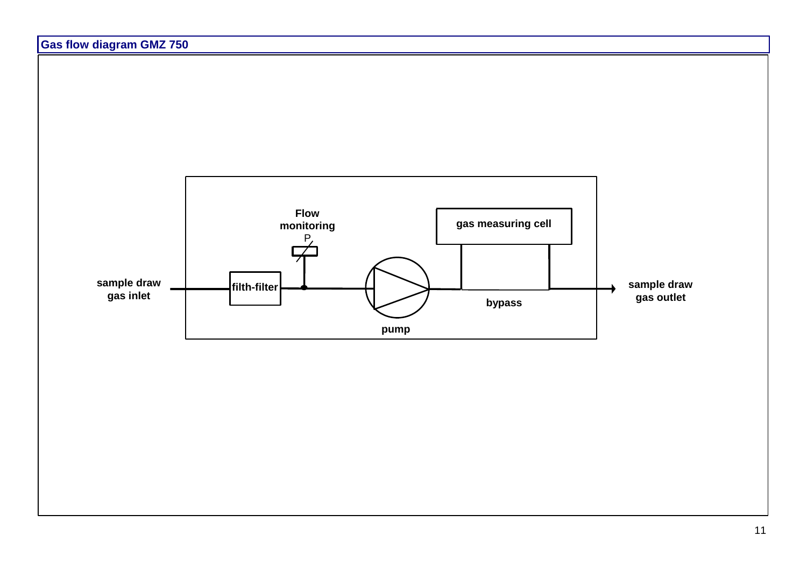

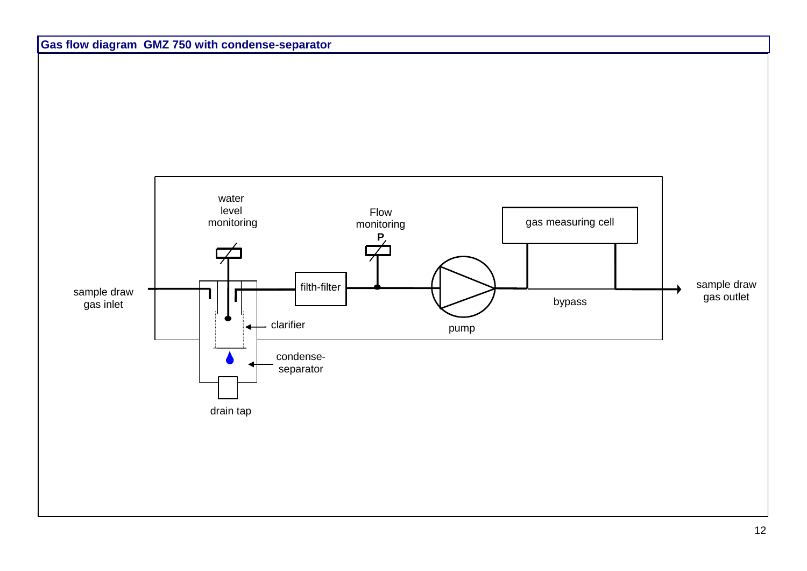

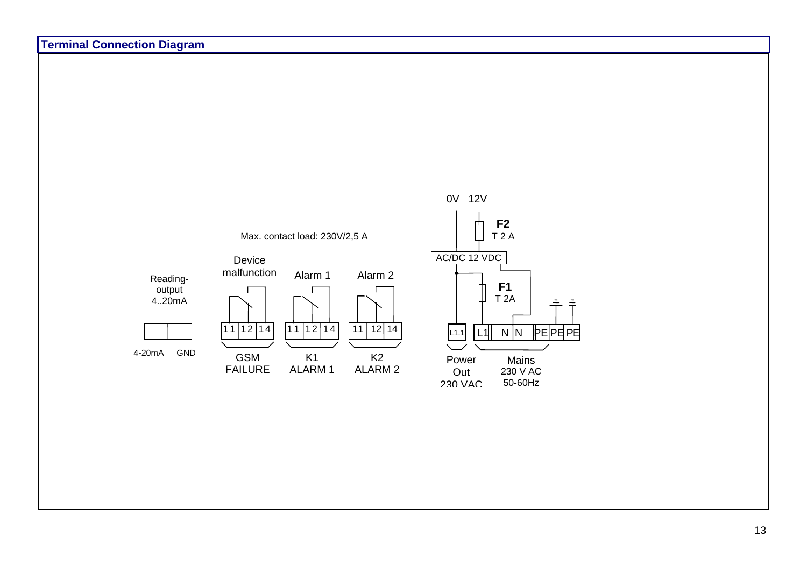